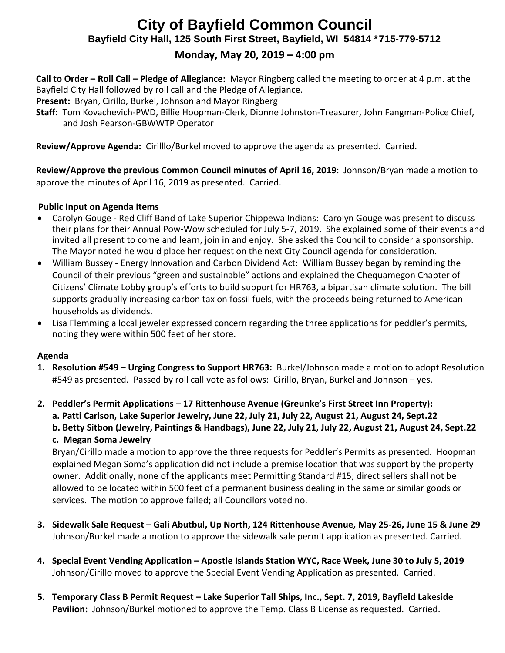# **Monday, May 20, 2019 – 4:00 pm**

 **Call to Order – Roll Call – Pledge of Allegiance:** Mayor Ringberg called the meeting to order at 4 p.m. at the Bayfield City Hall followed by roll call and the Pledge of Allegiance.

 **Present:** Bryan, Cirillo, Burkel, Johnson and Mayor Ringberg

 **Staff:** Tom Kovachevich-PWD, Billie Hoopman-Clerk, Dionne Johnston-Treasurer, John Fangman-Police Chief, and Josh Pearson-GBWWTP Operator

 **Review/Approve Agenda:** Cirilllo/Burkel moved to approve the agenda as presented. Carried.

 **Review/Approve the previous Common Council minutes of April 16, 2019**: Johnson/Bryan made a motion to approve the minutes of April 16, 2019 as presented. Carried.

### **Public Input on Agenda Items**

- Carolyn Gouge Red Cliff Band of Lake Superior Chippewa Indians: Carolyn Gouge was present to discuss their plans for their Annual Pow-Wow scheduled for July 5-7, 2019. She explained some of their events and invited all present to come and learn, join in and enjoy. She asked the Council to consider a sponsorship. The Mayor noted he would place her request on the next City Council agenda for consideration.
- William Bussey Energy Innovation and Carbon Dividend Act: William Bussey began by reminding the Council of their previous "green and sustainable" actions and explained the Chequamegon Chapter of Citizens' Climate Lobby group's efforts to build support for HR763, a bipartisan climate solution. The bill supports gradually increasing carbon tax on fossil fuels, with the proceeds being returned to American households as dividends.
- Lisa Flemming a local jeweler expressed concern regarding the three applications for peddler's permits, noting they were within 500 feet of her store.

#### **Agenda**

**1. Resolution #549 – Urging Congress to Support HR763:** Burkel/Johnson made a motion to adopt Resolution #549 as presented. Passed by roll call vote as follows: Cirillo, Bryan, Burkel and Johnson – yes.

**2. Peddler's Permit Applications – 17 Rittenhouse Avenue (Greunke's First Street Inn Property):**

**a. Patti Carlson, Lake Superior Jewelry, June 22, July 21, July 22, August 21, August 24, Sept.22**

**b. Betty Sitbon (Jewelry, Paintings & Handbags), June 22, July 21, July 22, August 21, August 24, Sept.22 c. Megan Soma Jewelry**

Bryan/Cirillo made a motion to approve the three requests for Peddler's Permits as presented. Hoopman explained Megan Soma's application did not include a premise location that was support by the property owner. Additionally, none of the applicants meet Permitting Standard #15; direct sellers shall not be allowed to be located within 500 feet of a permanent business dealing in the same or similar goods or services. The motion to approve failed; all Councilors voted no.

- **3. Sidewalk Sale Request – Gali Abutbul, Up North, 124 Rittenhouse Avenue, May 25-26, June 15 & June 29** Johnson/Burkel made a motion to approve the sidewalk sale permit application as presented. Carried.
- **4. Special Event Vending Application – Apostle Islands Station WYC, Race Week, June 30 to July 5, 2019** Johnson/Cirillo moved to approve the Special Event Vending Application as presented. Carried.
- **5. Temporary Class B Permit Request – Lake Superior Tall Ships, Inc., Sept. 7, 2019, Bayfield Lakeside Pavilion:** Johnson/Burkel motioned to approve the Temp. Class B License as requested. Carried.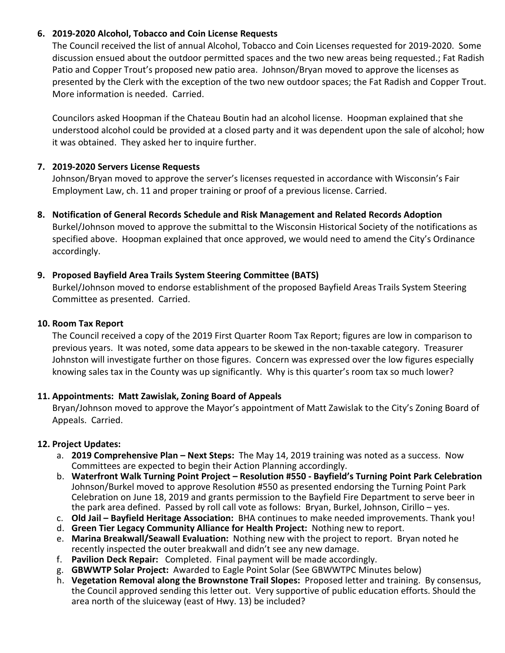#### **6. 2019-2020 Alcohol, Tobacco and Coin License Requests**

The Council received the list of annual Alcohol, Tobacco and Coin Licenses requested for 2019-2020. Some discussion ensued about the outdoor permitted spaces and the two new areas being requested.; Fat Radish Patio and Copper Trout's proposed new patio area. Johnson/Bryan moved to approve the licenses as presented by the Clerk with the exception of the two new outdoor spaces; the Fat Radish and Copper Trout. More information is needed. Carried.

Councilors asked Hoopman if the Chateau Boutin had an alcohol license. Hoopman explained that she understood alcohol could be provided at a closed party and it was dependent upon the sale of alcohol; how it was obtained. They asked her to inquire further.

#### **7. 2019-2020 Servers License Requests**

Johnson/Bryan moved to approve the server's licenses requested in accordance with Wisconsin's Fair Employment Law, ch. 11 and proper training or proof of a previous license. Carried.

**8. Notification of General Records Schedule and Risk Management and Related Records Adoption** 

Burkel/Johnson moved to approve the submittal to the Wisconsin Historical Society of the notifications as specified above. Hoopman explained that once approved, we would need to amend the City's Ordinance accordingly.

### **9. Proposed Bayfield Area Trails System Steering Committee (BATS)**

Burkel/Johnson moved to endorse establishment of the proposed Bayfield Areas Trails System Steering Committee as presented. Carried.

#### **10. Room Tax Report**

The Council received a copy of the 2019 First Quarter Room Tax Report; figures are low in comparison to previous years. It was noted, some data appears to be skewed in the non-taxable category. Treasurer Johnston will investigate further on those figures. Concern was expressed over the low figures especially knowing sales tax in the County was up significantly. Why is this quarter's room tax so much lower?

## **11. Appointments: Matt Zawislak, Zoning Board of Appeals**

Bryan/Johnson moved to approve the Mayor's appointment of Matt Zawislak to the City's Zoning Board of Appeals. Carried.

## **12. Project Updates:**

- a. **2019 Comprehensive Plan – Next Steps:** The May 14, 2019 training was noted as a success. Now Committees are expected to begin their Action Planning accordingly.
- b. **Waterfront Walk Turning Point Project – Resolution #550 - Bayfield's Turning Point Park Celebration** Johnson/Burkel moved to approve Resolution #550 as presented endorsing the Turning Point Park Celebration on June 18, 2019 and grants permission to the Bayfield Fire Department to serve beer in the park area defined. Passed by roll call vote as follows: Bryan, Burkel, Johnson, Cirillo – yes.
- c. **Old Jail – Bayfield Heritage Association:** BHA continues to make needed improvements. Thank you!
- d. **Green Tier Legacy Community Alliance for Health Project:** Nothing new to report.
- e. **Marina Breakwall/Seawall Evaluation:** Nothing new with the project to report. Bryan noted he recently inspected the outer breakwall and didn't see any new damage.
- f. **Pavilion Deck Repair:** Completed. Final payment will be made accordingly.
- g. **GBWWTP Solar Project:** Awarded to Eagle Point Solar (See GBWWTPC Minutes below)
- h. **Vegetation Removal along the Brownstone Trail Slopes:** Proposed letter and training. By consensus, the Council approved sending this letter out. Very supportive of public education efforts. Should the area north of the sluiceway (east of Hwy. 13) be included?